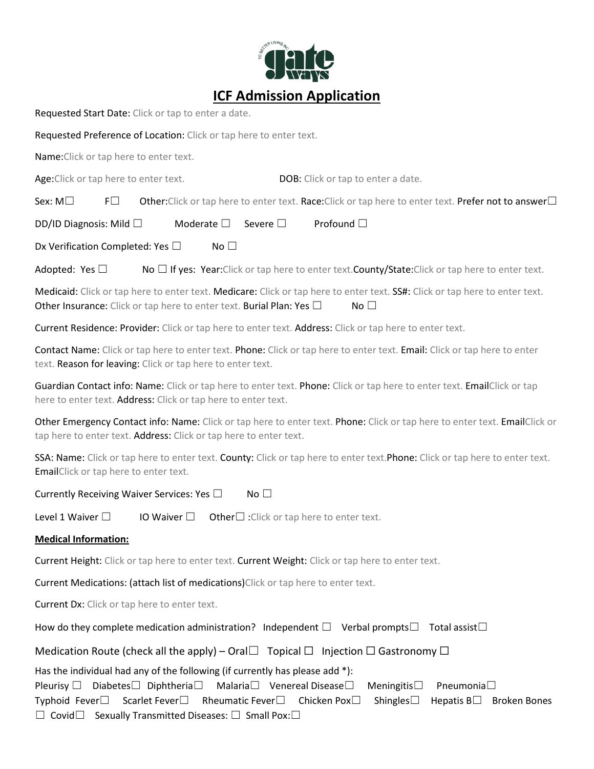

Requested Start Date: Click or tap to enter a date.

Requested Preference of Location: Click or tap here to enter text.

Name:Click or tap here to enter text.

Age:Click or tap here to enter text. DOB: Click or tap to enter a date.

Sex: M□ F□ Other:Click or tap here to enter text. Race:Click or tap here to enter text. Prefer not to answer□

DD/ID Diagnosis: Mild □ Moderate □ Severe □ Profound □

Dx Verification Completed: Yes □ No □

Adopted: Yes  $\Box$  No  $\Box$  If yes: Year:Click or tap here to enter text. County/State:Click or tap here to enter text.

Medicaid: Click or tap here to enter text. Medicare: Click or tap here to enter text. SS#: Click or tap here to enter text. Other Insurance: Click or tap here to enter text. Burial Plan: Yes  $\square$  No  $\square$ 

Current Residence: Provider: Click or tap here to enter text. Address: Click or tap here to enter text.

Contact Name: Click or tap here to enter text. Phone: Click or tap here to enter text. Email: Click or tap here to enter text. Reason for leaving: Click or tap here to enter text.

Guardian Contact info: Name: Click or tap here to enter text. Phone: Click or tap here to enter text. EmailClick or tap here to enter text. Address: Click or tap here to enter text.

Other Emergency Contact info: Name: Click or tap here to enter text. Phone: Click or tap here to enter text. EmailClick or tap here to enter text. Address: Click or tap here to enter text.

SSA: Name: Click or tap here to enter text. County: Click or tap here to enter text. Phone: Click or tap here to enter text. EmailClick or tap here to enter text.

Currently Receiving Waiver Services: Yes  $□$  No  $□$ 

Level 1 Waiver  $\square$  IO Waiver  $\square$  Other $\square$ : Click or tap here to enter text.

## **Medical Information:**

Current Height: Click or tap here to enter text. Current Weight: Click or tap here to enter text.

Current Medications: (attach list of medications)Click or tap here to enter text.

Current Dx: Click or tap here to enter text.

How do they complete medication administration? Independent  $\square$  Verbal prompts $\square$  Total assist $\square$ 

Medication Route (check all the apply) – Oral $\Box$  Topical  $\Box$  Injection  $\Box$  Gastronomy  $\Box$ 

Has the individual had any of the following (if currently has please add \*):

Pleurisy □ Diabetes□ Diphtheria□ Malaria□ Venereal Disease□ Meningitis□ Pneumonia□ Typhoid Fever☐ Scarlet Fever☐ Rheumatic Fever☐ Chicken Pox☐ Shingles☐ Hepatis B☐ Broken Bones ☐ Covid☐ Sexually Transmitted Diseases: ☐ Small Pox:☐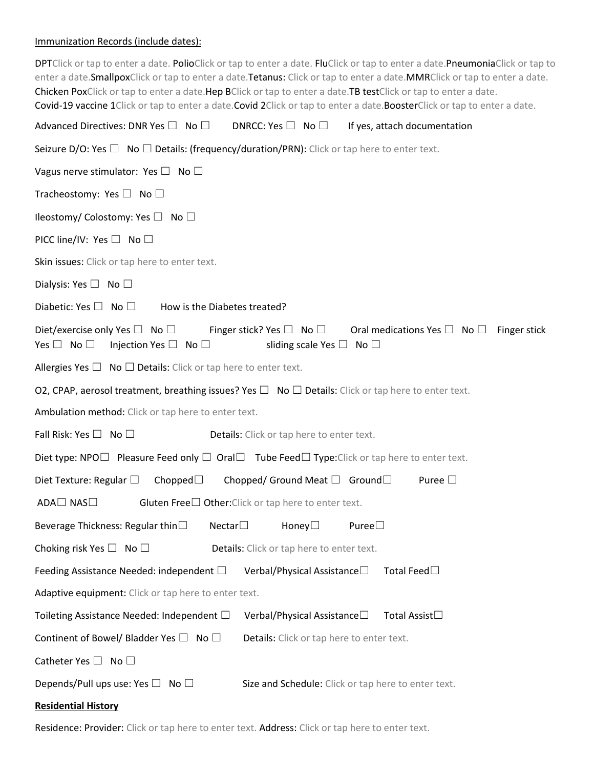# Immunization Records (include dates):

| DPTClick or tap to enter a date. PolioClick or tap to enter a date. FluClick or tap to enter a date. PneumoniaClick or tap to<br>enter a date. SmallpoxClick or tap to enter a date. Tetanus: Click or tap to enter a date. MMRClick or tap to enter a date.<br>Chicken PoxClick or tap to enter a date.Hep BClick or tap to enter a date.TB testClick or tap to enter a date.<br>Covid-19 vaccine 1Click or tap to enter a date.Covid 2Click or tap to enter a date.BoosterClick or tap to enter a date. |
|-----------------------------------------------------------------------------------------------------------------------------------------------------------------------------------------------------------------------------------------------------------------------------------------------------------------------------------------------------------------------------------------------------------------------------------------------------------------------------------------------------------|
| Advanced Directives: DNR Yes $\square$ No $\square$<br>DNRCC: Yes $\square$ No $\square$<br>If yes, attach documentation                                                                                                                                                                                                                                                                                                                                                                                  |
| Seizure D/O: Yes $\Box$ No $\Box$ Details: (frequency/duration/PRN): Click or tap here to enter text.                                                                                                                                                                                                                                                                                                                                                                                                     |
| Vagus nerve stimulator: Yes $\square$ No $\square$                                                                                                                                                                                                                                                                                                                                                                                                                                                        |
| Tracheostomy: Yes $\Box$ No $\Box$                                                                                                                                                                                                                                                                                                                                                                                                                                                                        |
| Ileostomy/ Colostomy: Yes $\Box$ No $\Box$                                                                                                                                                                                                                                                                                                                                                                                                                                                                |
| PICC line/IV: Yes $\Box$ No $\Box$                                                                                                                                                                                                                                                                                                                                                                                                                                                                        |
| Skin issues: Click or tap here to enter text.                                                                                                                                                                                                                                                                                                                                                                                                                                                             |
| Dialysis: Yes $\Box$ No $\Box$                                                                                                                                                                                                                                                                                                                                                                                                                                                                            |
| Diabetic: Yes $\square$ No $\square$<br>How is the Diabetes treated?                                                                                                                                                                                                                                                                                                                                                                                                                                      |
| Diet/exercise only Yes $\square$ No $\square$<br>Finger stick? Yes $\Box$ No $\Box$ Oral medications Yes $\Box$ No $\Box$<br>Finger stick<br>Yes $\Box$ No $\Box$<br>Injection Yes $\square$ No $\square$<br>sliding scale Yes $\square$ No $\square$                                                                                                                                                                                                                                                     |
| Allergies Yes $\Box$ No $\Box$ Details: Click or tap here to enter text.                                                                                                                                                                                                                                                                                                                                                                                                                                  |
| O2, CPAP, aerosol treatment, breathing issues? Yes $\Box$ No $\Box$ Details: Click or tap here to enter text.                                                                                                                                                                                                                                                                                                                                                                                             |
| Ambulation method: Click or tap here to enter text.                                                                                                                                                                                                                                                                                                                                                                                                                                                       |
| Fall Risk: Yes $\square$ No $\square$<br>Details: Click or tap here to enter text.                                                                                                                                                                                                                                                                                                                                                                                                                        |
| Diet type: NPO $\square$ Pleasure Feed only $\square$ Oral $\square$ Tube Feed $\square$ Type: Click or tap here to enter text.                                                                                                                                                                                                                                                                                                                                                                           |
| Diet Texture: Regular $\square$<br>Chopped $\square$<br>Chopped/ Ground Meat $\Box$ Ground $\Box$<br>Puree $\Box$                                                                                                                                                                                                                                                                                                                                                                                         |
| ADA□ NAS□<br>Gluten Free $\square$ Other: Click or tap here to enter text.                                                                                                                                                                                                                                                                                                                                                                                                                                |
| Beverage Thickness: Regular thin $\square$<br>Nectar $\Box$<br>Honey $\Box$<br>Puree                                                                                                                                                                                                                                                                                                                                                                                                                      |
| Choking risk Yes $\Box$ No $\Box$<br>Details: Click or tap here to enter text.                                                                                                                                                                                                                                                                                                                                                                                                                            |
| Feeding Assistance Needed: independent $\Box$<br>Verbal/Physical Assistance□<br>Total Feed□                                                                                                                                                                                                                                                                                                                                                                                                               |
| Adaptive equipment: Click or tap here to enter text.                                                                                                                                                                                                                                                                                                                                                                                                                                                      |
| Toileting Assistance Needed: Independent $\Box$<br>Total Assist□<br>Verbal/Physical Assistance□                                                                                                                                                                                                                                                                                                                                                                                                           |
| Continent of Bowel/ Bladder Yes $\Box$ No $\Box$<br>Details: Click or tap here to enter text.                                                                                                                                                                                                                                                                                                                                                                                                             |
| Catheter Yes $\square$ No $\square$                                                                                                                                                                                                                                                                                                                                                                                                                                                                       |
| Depends/Pull ups use: Yes $\Box$ No $\Box$<br>Size and Schedule: Click or tap here to enter text.                                                                                                                                                                                                                                                                                                                                                                                                         |
| <b>Residential History</b>                                                                                                                                                                                                                                                                                                                                                                                                                                                                                |

Residence: Provider: Click or tap here to enter text. Address: Click or tap here to enter text.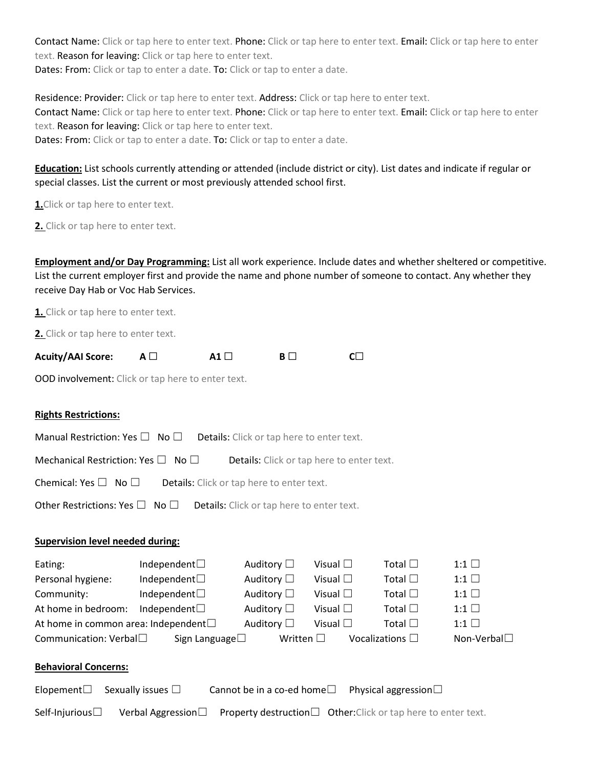Contact Name: Click or tap here to enter text. Phone: Click or tap here to enter text. Email: Click or tap here to enter text. Reason for leaving: Click or tap here to enter text. Dates: From: Click or tap to enter a date. To: Click or tap to enter a date.

Residence: Provider: Click or tap here to enter text. Address: Click or tap here to enter text. Contact Name: Click or tap here to enter text. Phone: Click or tap here to enter text. Email: Click or tap here to enter text. Reason for leaving: Click or tap here to enter text. Dates: From: Click or tap to enter a date. To: Click or tap to enter a date.

## **Education:** List schools currently attending or attended (include district or city). List dates and indicate if regular or special classes. List the current or most previously attended school first.

**1.** Click or tap here to enter text.

2. Click or tap here to enter text.

**Employment and/or Day Programming:** List all work experience. Include dates and whether sheltered or competitive. List the current employer first and provide the name and phone number of someone to contact. Any whether they receive Day Hab or Voc Hab Services.

**1.** Click or tap here to enter text.

**2.** Click or tap here to enter text.

| <b>Acuity/AAI Score:</b> | A1 $\Box$ |  |
|--------------------------|-----------|--|
|                          |           |  |

OOD involvement: Click or tap here to enter text.

### **Rights Restrictions:**

| <b>Manual Restriction: Yes <math>\Box</math> No <math>\Box</math> Details:</b> Click or tap here to enter text. |  |  |  |
|-----------------------------------------------------------------------------------------------------------------|--|--|--|
| Mechanical Restriction: Yes $\Box$ No $\Box$<br><b>Details:</b> Click or tap here to enter text.                |  |  |  |
| Chemical: Yes $\Box$ No $\Box$<br><b>Details:</b> Click or tap here to enter text.                              |  |  |  |
| Other Restrictions: Yes $\square$ No $\square$ Details: Click or tap here to enter text.                        |  |  |  |

#### **Supervision level needed during:**

| Eating:                                       | Independent $\Box$      | Auditory $\Box$    | Visual $\square$ | Total $\square$         | $1:1$ $\Box$ |
|-----------------------------------------------|-------------------------|--------------------|------------------|-------------------------|--------------|
| Personal hygiene:                             | Independent $\square$   | Auditory $\square$ | Visual $\square$ | Total $\square$         | $1:1$ $\Box$ |
| Community:                                    | Independent $\Box$      | Auditory $\square$ | Visual $\square$ | Total $\square$         | $1:1$ $\Box$ |
| At home in bedroom:                           | Independent $\square$   | Auditory $\square$ | Visual $\square$ | Total $\square$         | $1:1$ $\Box$ |
| At home in common area: Independent $\square$ |                         | Auditory $\square$ | Visual $\square$ | Total $\square$         | $1:1$ $\Box$ |
| Communication: Verbal                         | Sign Language $\square$ | Written $\square$  |                  | Vocalizations $\square$ | Non-Verbal□  |
|                                               |                         |                    |                  |                         |              |

## **Behavioral Concerns:**

| Elopement $\square$ Sexually issues $\square$<br>Cannot be in a co-ed home $\square$ Physical aggression $\square$ |  |
|--------------------------------------------------------------------------------------------------------------------|--|
|--------------------------------------------------------------------------------------------------------------------|--|

|  |  |  | Self-Injurious $\Box$ Verbal Aggression $\Box$ Property destruction $\Box$ Other:Click or tap here to enter text. |
|--|--|--|-------------------------------------------------------------------------------------------------------------------|
|--|--|--|-------------------------------------------------------------------------------------------------------------------|